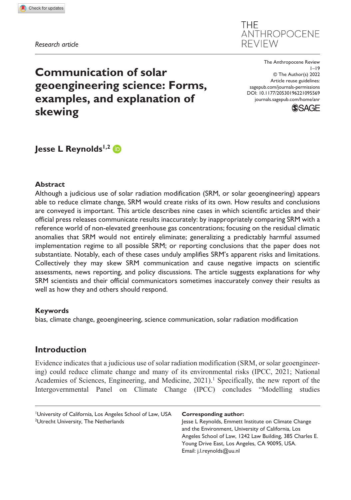*Research article*

**THF** ANTHROPOCENE **REVIEW** 

DOI: 10.1177/20530196221095569 The Anthropocene Review  $1 - 19$ © The Author(s) 2022 Article reuse guidelines: [sagepub.com/journals-permissions](https://uk.sagepub.com/en-gb/journals-permissions) [journals.sagepub.com/home/anr](https://journals.sagepub.com/home/anr)



# **Communication of solar geoengineering science: Forms, examples, and explanation of skewing**

**Jesse L Reynolds<sup>1,2</sup> D** 

#### **Abstract**

Although a judicious use of solar radiation modification (SRM, or solar geoengineering) appears able to reduce climate change, SRM would create risks of its own. How results and conclusions are conveyed is important. This article describes nine cases in which scientific articles and their official press releases communicate results inaccurately: by inappropriately comparing SRM with a reference world of non-elevated greenhouse gas concentrations; focusing on the residual climatic anomalies that SRM would not entirely eliminate; generalizing a predictably harmful assumed implementation regime to all possible SRM; or reporting conclusions that the paper does not substantiate. Notably, each of these cases unduly amplifies SRM's apparent risks and limitations. Collectively they may skew SRM communication and cause negative impacts on scientific assessments, news reporting, and policy discussions. The article suggests explanations for why SRM scientists and their official communicators sometimes inaccurately convey their results as well as how they and others should respond.

## **Keywords**

bias, climate change, geoengineering, science communication, solar radiation modification

# **Introduction**

Evidence indicates that a judicious use of solar radiation modification (SRM, or solar geoengineering) could reduce climate change and many of its environmental risks (IPCC, 2021; National Academies of Sciences, Engineering, and Medicine,  $2021$ ).<sup>1</sup> Specifically, the new report of the Intergovernmental Panel on Climate Change (IPCC) concludes "Modelling studies

#### **Corresponding author:**

Jesse L Reynolds, Emmett Institute on Climate Change and the Environment, University of California, Los Angeles School of Law, 1242 Law Building, 385 Charles E. Young Drive East, Los Angeles, CA 90095, USA. Email: [j.l.reynolds@uu.nl](mailto:j.l.reynolds@uu.nl)

<sup>1</sup> University of California, Los Angeles School of Law, USA <sup>2</sup>Utrecht University, The Netherlands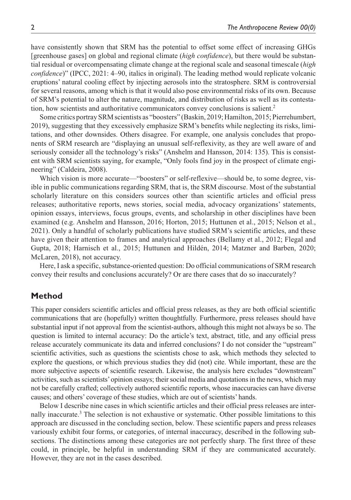have consistently shown that SRM has the potential to offset some effect of increasing GHGs [greenhouse gases] on global and regional climate (*high confidence*), but there would be substantial residual or overcompensating climate change at the regional scale and seasonal timescale (*high confidence*)" (IPCC, 2021: 4–90, italics in original). The leading method would replicate volcanic eruptions' natural cooling effect by injecting aerosols into the stratosphere. SRM is controversial for several reasons, among which is that it would also pose environmental risks of its own. Because of SRM's potential to alter the nature, magnitude, and distribution of risks as well as its contestation, how scientists and authoritative communicators convey conclusions is salient.2

Some critics portray SRM scientists as "boosters" (Baskin, 2019; Hamilton, 2015; Pierrehumbert, 2019), suggesting that they excessively emphasize SRM's benefits while neglecting its risks, limitations, and other downsides. Others disagree. For example, one analysis concludes that proponents of SRM research are "displaying an unusual self-reflexivity, as they are well aware of and seriously consider all the technology's risks" (Anshelm and Hansson, 2014: 135). This is consistent with SRM scientists saying, for example, "Only fools find joy in the prospect of climate engineering" (Caldeira, 2008).

Which vision is more accurate—"boosters" or self-reflexive—should be, to some degree, visible in public communications regarding SRM, that is, the SRM discourse. Most of the substantial scholarly literature on this considers sources other than scientific articles and official press releases; authoritative reports, news stories, social media, advocacy organizations' statements, opinion essays, interviews, focus groups, events, and scholarship in other disciplines have been examined (e.g. Anshelm and Hansson, 2016; Horton, 2015; Huttunen et al., 2015; Nelson et al., 2021). Only a handful of scholarly publications have studied SRM's scientific articles, and these have given their attention to frames and analytical approaches (Bellamy et al., 2012; Flegal and Gupta, 2018; Harnisch et al., 2015; Huttunen and Hildén, 2014; Matzner and Barben, 2020; McLaren, 2018), not accuracy.

Here, I ask a specific, substance-oriented question: Do official communications of SRM research convey their results and conclusions accurately? Or are there cases that do so inaccurately?

## **Method**

This paper considers scientific articles and official press releases, as they are both official scientific communications that are (hopefully) written thoughtfully. Furthermore, press releases should have substantial input if not approval from the scientist-authors, although this might not always be so. The question is limited to internal accuracy: Do the article's text, abstract, title, and any official press release accurately communicate its data and inferred conclusions? I do not consider the "upstream" scientific activities, such as questions the scientists chose to ask, which methods they selected to explore the questions, or which previous studies they did (not) cite. While important, these are the more subjective aspects of scientific research. Likewise, the analysis here excludes "downstream" activities, such as scientists' opinion essays; their social media and quotations in the news, which may not be carefully crafted; collectively authored scientific reports, whose inaccuracies can have diverse causes; and others' coverage of these studies, which are out of scientists' hands.

Below I describe nine cases in which scientific articles and their official press releases are internally inaccurate.<sup>3</sup> The selection is not exhaustive or systematic. Other possible limitations to this approach are discussed in the concluding section, below. These scientific papers and press releases variously exhibit four forms, or categories, of internal inaccuracy, described in the following subsections. The distinctions among these categories are not perfectly sharp. The first three of these could, in principle, be helpful in understanding SRM if they are communicated accurately. However, they are not in the cases described.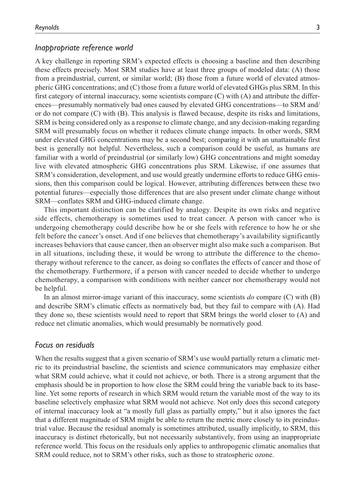#### *Inappropriate reference world*

A key challenge in reporting SRM's expected effects is choosing a baseline and then describing these effects precisely. Most SRM studies have at least three groups of modeled data: (A) those from a preindustrial, current, or similar world; (B) those from a future world of elevated atmospheric GHG concentrations; and (C) those from a future world of elevated GHGs plus SRM. In this first category of internal inaccuracy, some scientists compare (C) with (A) and attribute the differences—presumably normatively bad ones caused by elevated GHG concentrations—to SRM and/ or do not compare (C) with (B). This analysis is flawed because, despite its risks and limitations, SRM is being considered only as a response to climate change, and any decision-making regarding SRM will presumably focus on whether it reduces climate change impacts. In other words, SRM under elevated GHG concentrations may be a second best; comparing it with an unattainable first best is generally not helpful. Nevertheless, such a comparison could be useful, as humans are familiar with a world of preindustrial (or similarly low) GHG concentrations and might someday live with elevated atmospheric GHG concentrations plus SRM. Likewise, if one assumes that SRM's consideration, development, and use would greatly undermine efforts to reduce GHG emissions, then this comparison could be logical. However, attributing differences between these two potential futures—especially those differences that are also present under climate change without SRM—conflates SRM and GHG-induced climate change.

This important distinction can be clarified by analogy. Despite its own risks and negative side effects, chemotherapy is sometimes used to treat cancer. A person with cancer who is undergoing chemotherapy could describe how he or she feels with reference to how he or she felt before the cancer's onset. And if one believes that chemotherapy's availability significantly increases behaviors that cause cancer, then an observer might also make such a comparison. But in all situations, including these, it would be wrong to attribute the difference to the chemotherapy without reference to the cancer, as doing so conflates the effects of cancer and those of the chemotherapy. Furthermore, if a person with cancer needed to decide whether to undergo chemotherapy, a comparison with conditions with neither cancer nor chemotherapy would not be helpful.

In an almost mirror-image variant of this inaccuracy, some scientists *do* compare (C) with (B) and describe SRM's climatic effects as normatively bad, but they fail to compare with (A). Had they done so, these scientists would need to report that SRM brings the world closer to (A) and reduce net climatic anomalies, which would presumably be normatively good.

#### *Focus on residuals*

When the results suggest that a given scenario of SRM's use would partially return a climatic metric to its preindustrial baseline, the scientists and science communicators may emphasize either what SRM could achieve, what it could not achieve, or both. There is a strong argument that the emphasis should be in proportion to how close the SRM could bring the variable back to its baseline. Yet some reports of research in which SRM would return the variable most of the way to its baseline selectively emphasize what SRM would not achieve. Not only does this second category of internal inaccuracy look at "a mostly full glass as partially empty," but it also ignores the fact that a different magnitude of SRM might be able to return the metric more closely to its preindustrial value. Because the residual anomaly is sometimes attributed, usually implicitly, to SRM, this inaccuracy is distinct rhetorically, but not necessarily substantively, from using an inappropriate reference world. This focus on the residuals only applies to anthropogenic climatic anomalies that SRM could reduce, not to SRM's other risks, such as those to stratospheric ozone.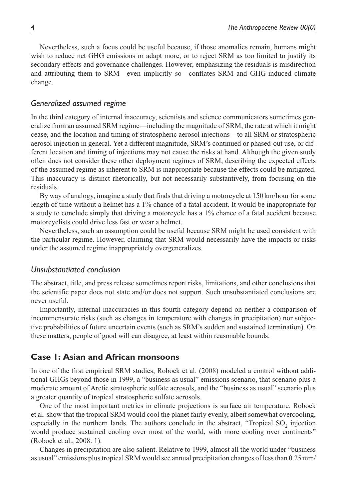Nevertheless, such a focus could be useful because, if those anomalies remain, humans might wish to reduce net GHG emissions or adapt more, or to reject SRM as too limited to justify its secondary effects and governance challenges. However, emphasizing the residuals is misdirection and attributing them to SRM—even implicitly so—conflates SRM and GHG-induced climate change.

## *Generalized assumed regime*

In the third category of internal inaccuracy, scientists and science communicators sometimes generalize from an assumed SRM regime—including the magnitude of SRM, the rate at which it might cease, and the location and timing of stratospheric aerosol injections—to all SRM or stratospheric aerosol injection in general. Yet a different magnitude, SRM's continued or phased-out use, or different location and timing of injections may not cause the risks at hand. Although the given study often does not consider these other deployment regimes of SRM, describing the expected effects of the assumed regime as inherent to SRM is inappropriate because the effects could be mitigated. This inaccuracy is distinct rhetorically, but not necessarily substantively, from focusing on the residuals.

By way of analogy, imagine a study that finds that driving a motorcycle at 150 km/hour for some length of time without a helmet has a 1% chance of a fatal accident. It would be inappropriate for a study to conclude simply that driving a motorcycle has a 1% chance of a fatal accident because motorcyclists could drive less fast or wear a helmet.

Nevertheless, such an assumption could be useful because SRM might be used consistent with the particular regime. However, claiming that SRM would necessarily have the impacts or risks under the assumed regime inappropriately overgeneralizes.

#### *Unsubstantiated conclusion*

The abstract, title, and press release sometimes report risks, limitations, and other conclusions that the scientific paper does not state and/or does not support. Such unsubstantiated conclusions are never useful.

Importantly, internal inaccuracies in this fourth category depend on neither a comparison of incommensurate risks (such as changes in temperature with changes in precipitation) nor subjective probabilities of future uncertain events (such as SRM's sudden and sustained termination). On these matters, people of good will can disagree, at least within reasonable bounds.

#### **Case 1: Asian and African monsoons**

In one of the first empirical SRM studies, Robock et al. (2008) modeled a control without additional GHGs beyond those in 1999, a "business as usual" emissions scenario, that scenario plus a moderate amount of Arctic stratospheric sulfate aerosols, and the "business as usual" scenario plus a greater quantity of tropical stratospheric sulfate aerosols.

One of the most important metrics in climate projections is surface air temperature. Robock et al. show that the tropical SRM would cool the planet fairly evenly, albeit somewhat overcooling, especially in the northern lands. The authors conclude in the abstract, "Tropical  $SO<sub>2</sub>$  injection would produce sustained cooling over most of the world, with more cooling over continents" (Robock et al., 2008: 1).

Changes in precipitation are also salient. Relative to 1999, almost all the world under "business as usual" emissions plus tropical SRM would see annual precipitation changes of less than 0.25mm/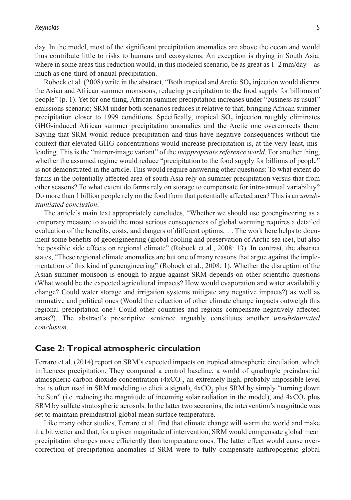day. In the model, most of the significant precipitation anomalies are above the ocean and would thus contribute little to risks to humans and ecosystems. An exception is drying in South Asia, where in some areas this reduction would, in this modeled scenario, be as great as  $1-2$  mm/day—as much as one-third of annual precipitation.

Robock et al. (2008) write in the abstract, "Both tropical and Arctic SO<sub>2</sub> injection would disrupt the Asian and African summer monsoons, reducing precipitation to the food supply for billions of people" (p. 1). Yet for one thing, African summer precipitation increases under "business as usual" emissions scenario; SRM under both scenarios reduces it relative to that, bringing African summer precipitation closer to 1999 conditions. Specifically, tropical  $SO<sub>2</sub>$  injection roughly eliminates GHG-induced African summer precipitation anomalies and the Arctic one overcorrects them. Saying that SRM would reduce precipitation and thus have negative consequences without the context that elevated GHG concentrations would increase precipitation is, at the very least, misleading. This is the "mirror-image variant" of the *inappropriate reference world*. For another thing, whether the assumed regime would reduce "precipitation to the food supply for billions of people" is not demonstrated in the article. This would require answering other questions: To what extent do farms in the potentially affected area of south Asia rely on summer precipitation versus that from other seasons? To what extent do farms rely on storage to compensate for intra-annual variability? Do more than 1billion people rely on the food from that potentially affected area? This is an *unsubstantiated conclusion*.

The article's main text appropriately concludes, "Whether we should use geoengineering as a temporary measure to avoid the most serious consequences of global warming requires a detailed evaluation of the benefits, costs, and dangers of different options. . . The work here helps to document some benefits of geoengineering (global cooling and preservation of Arctic sea ice), but also the possible side effects on regional climate" (Robock et al., 2008: 13). In contrast, the abstract states, "These regional climate anomalies are but one of many reasons that argue against the implementation of this kind of geoengineering" (Robock et al., 2008: 1). Whether the disruption of the Asian summer monsoon is enough to argue against SRM depends on other scientific questions (What would be the expected agricultural impacts? How would evaporation and water availability change? Could water storage and irrigation systems mitigate any negative impacts?) as well as normative and political ones (Would the reduction of other climate change impacts outweigh this regional precipitation one? Could other countries and regions compensate negatively affected areas?). The abstract's prescriptive sentence arguably constitutes another *unsubstantiated conclusion*.

#### **Case 2: Tropical atmospheric circulation**

Ferraro et al. (2014) report on SRM's expected impacts on tropical atmospheric circulation, which influences precipitation. They compared a control baseline, a world of quadruple preindustrial atmospheric carbon dioxide concentration (4xCO<sub>2</sub>, an extremely high, probably impossible level that is often used in SRM modeling to elicit a signal),  $4xCO<sub>2</sub>$  plus SRM by simply "turning down the Sun" (i.e. reducing the magnitude of incoming solar radiation in the model), and  $4xCO$ , plus SRM by sulfate stratospheric aerosols. In the latter two scenarios, the intervention's magnitude was set to maintain preindustrial global mean surface temperature.

Like many other studies, Ferraro et al. find that climate change will warm the world and make it a bit wetter and that, for a given magnitude of intervention, SRM would compensate global mean precipitation changes more efficiently than temperature ones. The latter effect would cause overcorrection of precipitation anomalies if SRM were to fully compensate anthropogenic global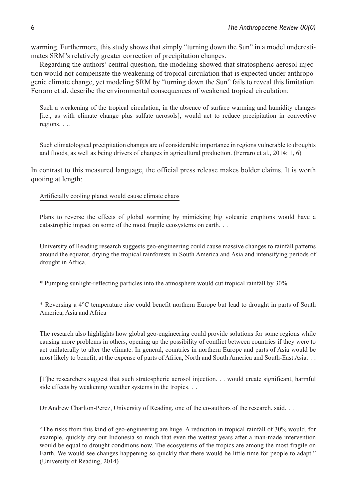warming. Furthermore, this study shows that simply "turning down the Sun" in a model underestimates SRM's relatively greater correction of precipitation changes.

Regarding the authors' central question, the modeling showed that stratospheric aerosol injection would not compensate the weakening of tropical circulation that is expected under anthropogenic climate change, yet modeling SRM by "turning down the Sun" fails to reveal this limitation. Ferraro et al. describe the environmental consequences of weakened tropical circulation:

Such a weakening of the tropical circulation, in the absence of surface warming and humidity changes [i.e., as with climate change plus sulfate aerosols], would act to reduce precipitation in convective regions. . ..

Such climatological precipitation changes are of considerable importance in regions vulnerable to droughts and floods, as well as being drivers of changes in agricultural production. (Ferraro et al., 2014: 1, 6)

In contrast to this measured language, the official press release makes bolder claims. It is worth quoting at length:

Artificially cooling planet would cause climate chaos

Plans to reverse the effects of global warming by mimicking big volcanic eruptions would have a catastrophic impact on some of the most fragile ecosystems on earth. . .

University of Reading research suggests geo-engineering could cause massive changes to rainfall patterns around the equator, drying the tropical rainforests in South America and Asia and intensifying periods of drought in Africa.

\* Pumping sunlight-reflecting particles into the atmosphere would cut tropical rainfall by 30%

\* Reversing a 4°C temperature rise could benefit northern Europe but lead to drought in parts of South America, Asia and Africa

The research also highlights how global geo-engineering could provide solutions for some regions while causing more problems in others, opening up the possibility of conflict between countries if they were to act unilaterally to alter the climate. In general, countries in northern Europe and parts of Asia would be most likely to benefit, at the expense of parts of Africa, North and South America and South-East Asia. . .

[T]he researchers suggest that such stratospheric aerosol injection. . . would create significant, harmful side effects by weakening weather systems in the tropics. . .

Dr Andrew Charlton-Perez, University of Reading, one of the co-authors of the research, said. . .

"The risks from this kind of geo-engineering are huge. A reduction in tropical rainfall of 30% would, for example, quickly dry out Indonesia so much that even the wettest years after a man-made intervention would be equal to drought conditions now. The ecosystems of the tropics are among the most fragile on Earth. We would see changes happening so quickly that there would be little time for people to adapt." (University of Reading, 2014)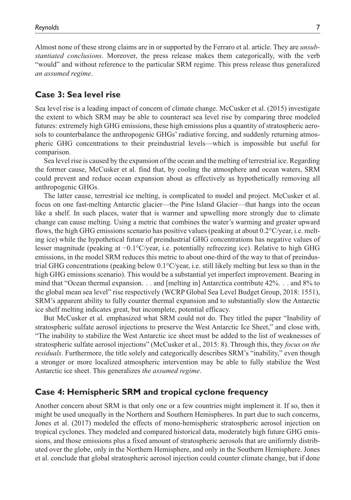Almost none of these strong claims are in or supported by the Ferraro et al. article. They are *unsubstantiated conclusions*. Moreover, the press release makes them categorically, with the verb "would" and without reference to the particular SRM regime. This press release thus generalized *an assumed regime*.

## **Case 3: Sea level rise**

Sea level rise is a leading impact of concern of climate change. McCusker et al. (2015) investigate the extent to which SRM may be able to counteract sea level rise by comparing three modeled futures: extremely high GHG emissions, these high emissions plus a quantity of stratospheric aerosols to counterbalance the anthropogenic GHGs' radiative forcing, and suddenly returning atmospheric GHG concentrations to their preindustrial levels—which is impossible but useful for comparison.

Sea level rise is caused by the expansion of the ocean and the melting of terrestrial ice. Regarding the former cause, McCusker et al. find that, by cooling the atmosphere and ocean waters, SRM could prevent and reduce ocean expansion about as effectively as hypothetically removing all anthropogenic GHGs.

The latter cause, terrestrial ice melting, is complicated to model and project. McCusker et al. focus on one fast-melting Antarctic glacier—the Pine Island Glacier—that hangs into the ocean like a shelf. In such places, water that is warmer and upwelling more strongly due to climate change can cause melting. Using a metric that combines the water's warming and greater upward flows, the high GHG emissions scenario has positive values (peaking at about 0.2°C/year, i.e. melting ice) while the hypothetical future of preindustrial GHG concentrations has negative values of lesser magnitude (peaking at −0.1°C/year, i.e. potentially refreezing ice). Relative to high GHG emissions, in the model SRM reduces this metric to about one-third of the way to that of preindustrial GHG concentrations (peaking below 0.1°C/year, i.e. still likely melting but less so than in the high GHG emissions scenario). This would be a substantial yet imperfect improvement. Bearing in mind that "Ocean thermal expansion. . . and [melting in] Antarctica contribute 42%. . . and 8% to the global mean sea level" rise respectively (WCRP Global Sea Level Budget Group, 2018: 1551), SRM's apparent ability to fully counter thermal expansion and to substantially slow the Antarctic ice shelf melting indicates great, but incomplete, potential efficacy.

But McCusker et al. emphasized what SRM could not do. They titled the paper "Inability of stratospheric sulfate aerosol injections to preserve the West Antarctic Ice Sheet," and close with, "The inability to stabilize the West Antarctic ice sheet must be added to the list of weaknesses of stratospheric sulfate aerosol injections" (McCusker et al., 2015: 8). Through this, they *focus on the residuals*. Furthermore, the title solely and categorically describes SRM's "inability," even though a stronger or more localized atmospheric intervention may be able to fully stabilize the West Antarctic ice sheet. This generalizes *the assumed regime*.

## **Case 4: Hemispheric SRM and tropical cyclone frequency**

Another concern about SRM is that only one or a few countries might implement it. If so, then it might be used unequally in the Northern and Southern Hemispheres. In part due to such concerns, Jones et al. (2017) modeled the effects of mono-hemispheric stratospheric aerosol injection on tropical cyclones. They modeled and compared historical data, moderately high future GHG emissions, and those emissions plus a fixed amount of stratospheric aerosols that are uniformly distributed over the globe, only in the Northern Hemisphere, and only in the Southern Hemisphere. Jones et al. conclude that global stratospheric aerosol injection could counter climate change, but if done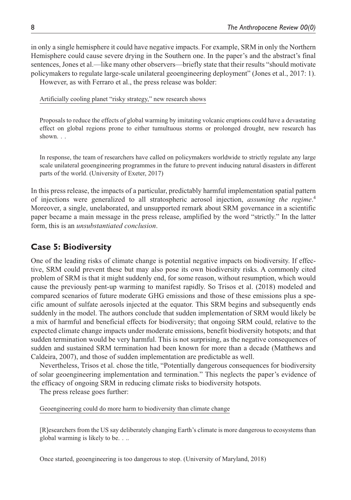in only a single hemisphere it could have negative impacts. For example, SRM in only the Northern Hemisphere could cause severe drying in the Southern one. In the paper's and the abstract's final sentences, Jones et al.—like many other observers—briefly state that their results "should motivate policymakers to regulate large-scale unilateral geoengineering deployment" (Jones et al., 2017: 1). However, as with Ferraro et al., the press release was bolder:

Artificially cooling planet "risky strategy," new research shows

Proposals to reduce the effects of global warming by imitating volcanic eruptions could have a devastating effect on global regions prone to either tumultuous storms or prolonged drought, new research has shown. . .

In response, the team of researchers have called on policymakers worldwide to strictly regulate any large scale unilateral geoengineering programmes in the future to prevent inducing natural disasters in different parts of the world. (University of Exeter, 2017)

In this press release, the impacts of a particular, predictably harmful implementation spatial pattern of injections were generalized to all stratospheric aerosol injection, *assuming the regime*. 4 Moreover, a single, unelaborated, and unsupported remark about SRM governance in a scientific paper became a main message in the press release, amplified by the word "strictly." In the latter form, this is an *unsubstantiated conclusion*.

# **Case 5: Biodiversity**

One of the leading risks of climate change is potential negative impacts on biodiversity. If effective, SRM could prevent these but may also pose its own biodiversity risks. A commonly cited problem of SRM is that it might suddenly end, for some reason, without resumption, which would cause the previously pent-up warming to manifest rapidly. So Trisos et al. (2018) modeled and compared scenarios of future moderate GHG emissions and those of these emissions plus a specific amount of sulfate aerosols injected at the equator. This SRM begins and subsequently ends suddenly in the model. The authors conclude that sudden implementation of SRM would likely be a mix of harmful and beneficial effects for biodiversity; that ongoing SRM could, relative to the expected climate change impacts under moderate emissions, benefit biodiversity hotspots; and that sudden termination would be very harmful. This is not surprising, as the negative consequences of sudden and sustained SRM termination had been known for more than a decade (Matthews and Caldeira, 2007), and those of sudden implementation are predictable as well.

Nevertheless, Trisos et al. chose the title, "Potentially dangerous consequences for biodiversity of solar geoengineering implementation and termination." This neglects the paper's evidence of the efficacy of ongoing SRM in reducing climate risks to biodiversity hotspots.

The press release goes further:

Geoengineering could do more harm to biodiversity than climate change

[R]esearchers from the US say deliberately changing Earth's climate is more dangerous to ecosystems than global warming is likely to be. . ..

Once started, geoengineering is too dangerous to stop. (University of Maryland, 2018)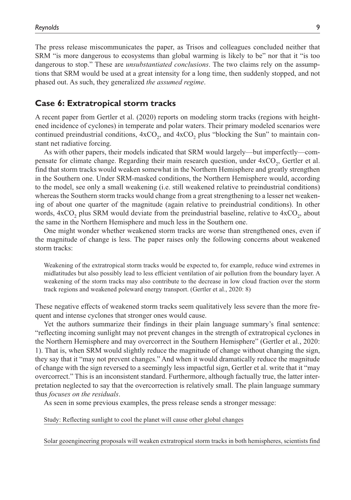The press release miscommunicates the paper, as Trisos and colleagues concluded neither that SRM "is more dangerous to ecosystems than global warming is likely to be" nor that it "is too dangerous to stop." These are *unsubstantiated conclusions*. The two claims rely on the assumptions that SRM would be used at a great intensity for a long time, then suddenly stopped, and not phased out. As such, they generalized *the assumed regime*.

#### **Case 6: Extratropical storm tracks**

A recent paper from Gertler et al. (2020) reports on modeling storm tracks (regions with heightened incidence of cyclones) in temperate and polar waters. Their primary modeled scenarios were continued preindustrial conditions,  $4xCO<sub>2</sub>$ , and  $4xCO<sub>2</sub>$  plus "blocking the Sun" to maintain constant net radiative forcing.

As with other papers, their models indicated that SRM would largely—but imperfectly—compensate for climate change. Regarding their main research question, under  $4xCO$ , Gertler et al. find that storm tracks would weaken somewhat in the Northern Hemisphere and greatly strengthen in the Southern one. Under SRM-masked conditions, the Northern Hemisphere would, according to the model, see only a small weakening (i.e. still weakened relative to preindustrial conditions) whereas the Southern storm tracks would change from a great strengthening to a lesser net weakening of about one quarter of the magnitude (again relative to preindustrial conditions). In other words,  $4xCO<sub>2</sub>$  plus SRM would deviate from the preindustrial baseline, relative to  $4xCO<sub>2</sub>$ , about the same in the Northern Hemisphere and much less in the Southern one.

One might wonder whether weakened storm tracks are worse than strengthened ones, even if the magnitude of change is less. The paper raises only the following concerns about weakened storm tracks:

Weakening of the extratropical storm tracks would be expected to, for example, reduce wind extremes in midlatitudes but also possibly lead to less efficient ventilation of air pollution from the boundary layer. A weakening of the storm tracks may also contribute to the decrease in low cloud fraction over the storm track regions and weakened poleward energy transport. (Gertler et al., 2020: 8)

These negative effects of weakened storm tracks seem qualitatively less severe than the more frequent and intense cyclones that stronger ones would cause.

Yet the authors summarize their findings in their plain language summary's final sentence: "reflecting incoming sunlight may not prevent changes in the strength of extratropical cyclones in the Northern Hemisphere and may overcorrect in the Southern Hemisphere" (Gertler et al., 2020: 1). That is, when SRM would slightly reduce the magnitude of change without changing the sign, they say that it "may not prevent changes." And when it would dramatically reduce the magnitude of change with the sign reversed to a seemingly less impactful sign, Gertler et al. write that it "may overcorrect." This is an inconsistent standard. Furthermore, although factually true, the latter interpretation neglected to say that the overcorrection is relatively small. The plain language summary thus *focuses on the residuals*.

As seen in some previous examples, the press release sends a stronger message:

Study: Reflecting sunlight to cool the planet will cause other global changes

Solar geoengineering proposals will weaken extratropical storm tracks in both hemispheres, scientists find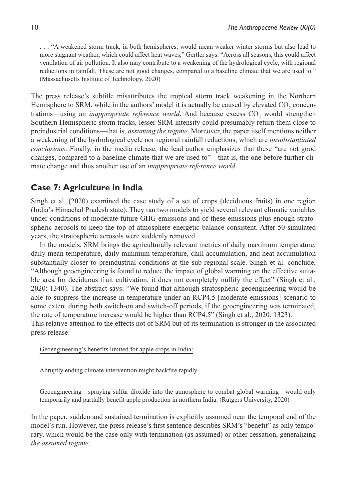. . . "A weakened storm track, in both hemispheres, would mean weaker winter storms but also lead to more stagnant weather, which could affect heat waves," Gertler says. "Across all seasons, this could affect ventilation of air pollution. It also may contribute to a weakening of the hydrological cycle, with regional reductions in rainfall. These are not good changes, compared to a baseline climate that we are used to." (Massachusetts Institute of Technology, 2020)

The press release's subtitle misattributes the tropical storm track weakening in the Northern Hemisphere to SRM, while in the authors' model it is actually be caused by elevated CO<sub>2</sub> concentrations—using an *inappropriate reference world*. And because excess CO<sub>2</sub> would strengthen Southern Hemispheric storm tracks, lesser SRM intensity could presumably return them close to preindustrial conditions—that is, *assuming the regime*. Moreover, the paper itself mentions neither a weakening of the hydrological cycle nor regional rainfall reductions, which are *unsubstantiated conclusions*. Finally, in the media release, the lead author emphasizes that these "are not good changes, compared to a baseline climate that we are used to"—that is, the one before further climate change and thus another use of an *inappropriate reference world*.

# **Case 7: Agriculture in India**

Singh et al. (2020) examined the case study of a set of crops (deciduous fruits) in one region (India's Himachal Pradesh state). They ran two models to yield several relevant climatic variables under conditions of moderate future GHG emissions and of these emissions plus enough stratospheric aerosols to keep the top-of-atmosphere energetic balance consistent. After 50 simulated years, the stratospheric aerosols were suddenly removed.

In the models, SRM brings the agriculturally relevant metrics of daily maximum temperature, daily mean temperature, daily minimum temperature, chill accumulation, and heat accumulation substantially closer to preindustrial conditions at the sub-regional scale. Singh et al. conclude, "Although geoengineering is found to reduce the impact of global warming on the effective suitable area for deciduous fruit cultivation, it does not completely nullify the effect" (Singh et al., 2020: 1340). The abstract says: "We found that although stratospheric geoengineering would be able to suppress the increase in temperature under an RCP4.5 [moderate emissions] scenario to some extent during both switch-on and switch-off periods, if the geoengineering was terminated, the rate of temperature increase would be higher than RCP4.5" (Singh et al., 2020: 1323). This relative attention to the effects not of SRM but of its termination is stronger in the associated press release:

Geoengineering's benefits limited for apple crops in India:

#### Abruptly ending climate intervention might backfire rapidly

Geoengineering—spraying sulfur dioxide into the atmosphere to combat global warming—would only temporarily and partially benefit apple production in northern India. (Rutgers University, 2020)

In the paper, sudden and sustained termination is explicitly assumed near the temporal end of the model's run. However, the press release's first sentence describes SRM's "benefit" as only temporary, which would be the case only with termination (as assumed) or other cessation, generalizing *the assumed regime*.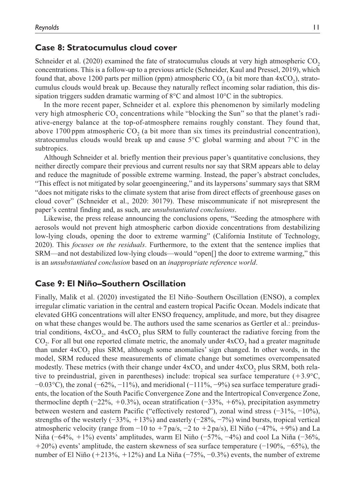#### **Case 8: Stratocumulus cloud cover**

Schneider et al.  $(2020)$  examined the fate of stratocumulus clouds at very high atmospheric CO<sub>2</sub> concentrations. This is a follow-up to a previous article (Schneider, Kaul and Pressel, 2019), which found that, above 1200 parts per million (ppm) atmospheric  $CO<sub>2</sub>$  (a bit more than  $4xCO<sub>2</sub>$ ), stratocumulus clouds would break up. Because they naturally reflect incoming solar radiation, this dissipation triggers sudden dramatic warming of 8°C and almost 10°C in the subtropics.

In the more recent paper, Schneider et al. explore this phenomenon by similarly modeling very high atmospheric CO<sub>2</sub> concentrations while "blocking the Sun" so that the planet's radiative-energy balance at the top-of-atmosphere remains roughly constant. They found that, above 1700 ppm atmospheric  $CO<sub>2</sub>$  (a bit more than six times its preindustrial concentration), stratocumulus clouds would break up and cause 5°C global warming and about 7°C in the subtropics.

Although Schneider et al. briefly mention their previous paper's quantitative conclusions, they neither directly compare their previous and current results nor say that SRM appears able to delay and reduce the magnitude of possible extreme warming. Instead, the paper's abstract concludes, "This effect is not mitigated by solar geoengineering," and its laypersons' summary says that SRM "does not mitigate risks to the climate system that arise from direct effects of greenhouse gases on cloud cover" (Schneider et al., 2020: 30179). These miscommunicate if not misrepresent the paper's central finding and, as such, are *unsubstantiated conclusions*.

Likewise, the press release announcing the conclusions opens, "Seeding the atmosphere with aerosols would not prevent high atmospheric carbon dioxide concentrations from destabilizing low-lying clouds, opening the door to extreme warming" (California Institute of Technology, 2020). This *focuses on the residuals*. Furthermore, to the extent that the sentence implies that SRM—and not destabilized low-lying clouds—would "open[] the door to extreme warming," this is an *unsubstantiated conclusion* based on an *inappropriate reference world*.

## **Case 9: El Niño–Southern Oscillation**

Finally, Malik et al. (2020) investigated the El Niño–Southern Oscillation (ENSO), a complex irregular climatic variation in the central and eastern tropical Pacific Ocean. Models indicate that elevated GHG concentrations will alter ENSO frequency, amplitude, and more, but they disagree on what these changes would be. The authors used the same scenarios as Gertler et al.: preindustrial conditions,  $4xCO<sub>2</sub>$ , and  $4xCO<sub>2</sub>$  plus SRM to fully counteract the radiative forcing from the  $CO<sub>2</sub>$ . For all but one reported climate metric, the anomaly under  $4xCO<sub>2</sub>$  had a greater magnitude than under  $4xCO<sub>2</sub>$  plus SRM, although some anomalies' sign changed. In other words, in the model, SRM reduced these measurements of climate change but sometimes overcompensated modestly. These metrics (with their change under  $4xCO<sub>2</sub>$  and under  $4xCO<sub>2</sub>$  plus SRM, both relative to preindustrial, given in parentheses) include: tropical sea surface temperature  $(+3.9^{\circ}C,$  $-0.03$ °C), the zonal (−62%, −11%), and meridional (−111%, −9%) sea surface temperature gradients, the location of the South Pacific Convergence Zone and the Intertropical Convergence Zone, thermocline depth  $(-22\%, +0.3\%)$ , ocean stratification  $(-33\%, +6\%)$ , precipitation asymmetry between western and eastern Pacific ("effectively restored"), zonal wind stress (−31%, −10%), strengths of the westerly ( $-33\%$ ,  $+13\%$ ) and easterly ( $-28\%$ ,  $-7\%$ ) wind bursts, tropical vertical atmospheric velocity (range from  $-10$  to  $+7$  pa/s,  $-2$  to  $+2$  pa/s), El Niño ( $-47\%$ ,  $+9\%$ ) and La Niña (−64%, +1%) events' amplitudes, warm El Niño (−57%, −4%) and cool La Niña (−36%, +20%) events' amplitude, the eastern skewness of sea surface temperature (−190%, −65%), the number of El Niño (+213%, +12%) and La Niña (−75%, −0.3%) events, the number of extreme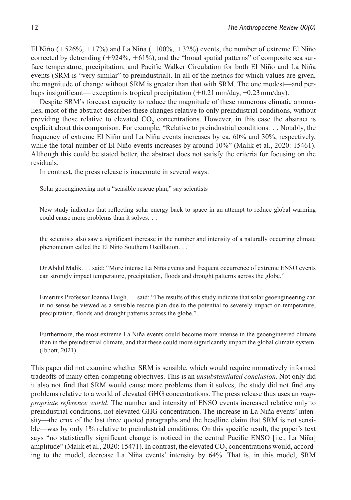El Niño (+526%, +17%) and La Niña (-100%, +32%) events, the number of extreme El Niño corrected by detrending  $(+924\%, +61\%)$ , and the "broad spatial patterns" of composite sea surface temperature, precipitation, and Pacific Walker Circulation for both El Niño and La Niña events (SRM is "very similar" to preindustrial). In all of the metrics for which values are given, the magnitude of change without SRM is greater than that with SRM. The one modest—and perhaps insignificant— exception is tropical precipitation (+0.21mm/day, −0.23mm/day).

Despite SRM's forecast capacity to reduce the magnitude of these numerous climatic anomalies, most of the abstract describes these changes relative to only preindustrial conditions, without providing those relative to elevated CO<sub>2</sub> concentrations. However, in this case the abstract is explicit about this comparison. For example, "Relative to preindustrial conditions. . . Notably, the frequency of extreme El Niño and La Niña events increases by ca. 60% and 30%, respectively, while the total number of El Niño events increases by around 10%" (Malik et al., 2020: 15461). Although this could be stated better, the abstract does not satisfy the criteria for focusing on the residuals.

In contrast, the press release is inaccurate in several ways:

Solar geoengineering not a "sensible rescue plan," say scientists

New study indicates that reflecting solar energy back to space in an attempt to reduce global warming could cause more problems than it solves. . .

the scientists also saw a significant increase in the number and intensity of a naturally occurring climate phenomenon called the El Niño Southern Oscillation. . .

Dr Abdul Malik. . . said: "More intense La Niña events and frequent occurrence of extreme ENSO events can strongly impact temperature, precipitation, floods and drought patterns across the globe."

Emeritus Professor Joanna Haigh. . . said: "The results of this study indicate that solar geoengineering can in no sense be viewed as a sensible rescue plan due to the potential to severely impact on temperature, precipitation, floods and drought patterns across the globe.". . .

Furthermore, the most extreme La Niña events could become more intense in the geoengineered climate than in the preindustrial climate, and that these could more significantly impact the global climate system. (Ibbott, 2021)

This paper did not examine whether SRM is sensible, which would require normatively informed tradeoffs of many often-competing objectives. This is an *unsubstantiated conclusion*. Not only did it also not find that SRM would cause more problems than it solves, the study did not find any problems relative to a world of elevated GHG concentrations. The press release thus uses an *inappropriate reference world*. The number and intensity of ENSO events increased relative only to preindustrial conditions, not elevated GHG concentration. The increase in La Niña events' intensity—the crux of the last three quoted paragraphs and the headline claim that SRM is not sensible—was by only 1% relative to preindustrial conditions. On this specific result, the paper's text says "no statistically significant change is noticed in the central Pacific ENSO [i.e., La Niña] amplitude" (Malik et al., 2020: 15471). In contrast, the elevated  $CO<sub>2</sub>$  concentrations would, according to the model, decrease La Niña events' intensity by 64%. That is, in this model, SRM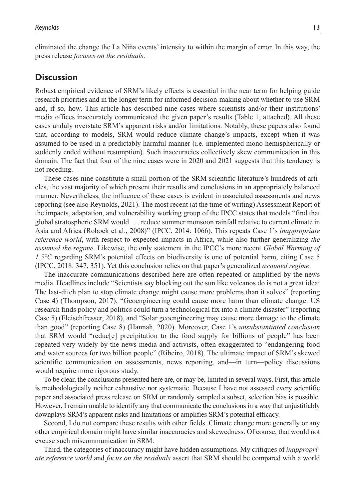eliminated the change the La Niña events' intensity to within the margin of error. In this way, the press release *focuses on the residuals*.

## **Discussion**

Robust empirical evidence of SRM's likely effects is essential in the near term for helping guide research priorities and in the longer term for informed decision-making about whether to use SRM and, if so, how. This article has described nine cases where scientists and/or their institutions' media offices inaccurately communicated the given paper's results (Table 1, attached). All these cases unduly overstate SRM's apparent risks and/or limitations. Notably, these papers also found that, according to models, SRM would reduce climate change's impacts, except when it was assumed to be used in a predictably harmful manner (i.e. implemented mono-hemispherically or suddenly ended without resumption). Such inaccuracies collectively skew communication in this domain. The fact that four of the nine cases were in 2020 and 2021 suggests that this tendency is not receding.

These cases nine constitute a small portion of the SRM scientific literature's hundreds of articles, the vast majority of which present their results and conclusions in an appropriately balanced manner. Nevertheless, the influence of these cases is evident in associated assessments and news reporting (see also Reynolds, 2021). The most recent (at the time of writing) Assessment Report of the impacts, adaptation, and vulnerability working group of the IPCC states that models "find that global stratospheric SRM would. . . reduce summer monsoon rainfall relative to current climate in Asia and Africa (Robock et al., 2008)" (IPCC, 2014: 1066). This repeats Case 1's *inappropriate reference world*, with respect to expected impacts in Africa, while also further generalizing *the assumed the regime*. Likewise, the only statement in the IPCC's more recent *Global Warming of 1.5°C* regarding SRM's potential effects on biodiversity is one of potential harm, citing Case 5 (IPCC, 2018: 347, 351). Yet this conclusion relies on that paper's generalized *assumed regime*.

The inaccurate communications described here are often repeated or amplified by the news media. Headlines include "Scientists say blocking out the sun like volcanos do is not a great idea: The last-ditch plan to stop climate change might cause more problems than it solves" (reporting Case 4) (Thompson, 2017), "Geoengineering could cause more harm than climate change: US research finds policy and politics could turn a technological fix into a climate disaster" (reporting Case 5) (Fleischfresser, 2018), and "Solar geoengineering may cause more damage to the climate than good" (reporting Case 8) (Hannah, 2020). Moreover, Case 1's *unsubstantiated conclusion* that SRM would "reduc[e] precipitation to the food supply for billions of people" has been repeated very widely by the news media and activists, often exaggerated to "endangering food and water sources for two billion people" (Ribeiro, 2018). The ultimate impact of SRM's skewed scientific communication on assessments, news reporting, and—in turn—policy discussions would require more rigorous study.

To be clear, the conclusions presented here are, or may be, limited in several ways. First, this article is methodologically neither exhaustive nor systematic. Because I have not assessed every scientific paper and associated press release on SRM or randomly sampled a subset, selection bias is possible. However, I remain unable to identify any that communicate the conclusions in a way that unjustifiably downplays SRM's apparent risks and limitations or amplifies SRM's potential efficacy.

Second, I do not compare these results with other fields. Climate change more generally or any other empirical domain might have similar inaccuracies and skewedness. Of course, that would not excuse such miscommunication in SRM.

Third, the categories of inaccuracy might have hidden assumptions. My critiques of *inappropriate reference world* and *focus on the residuals* assert that SRM should be compared with a world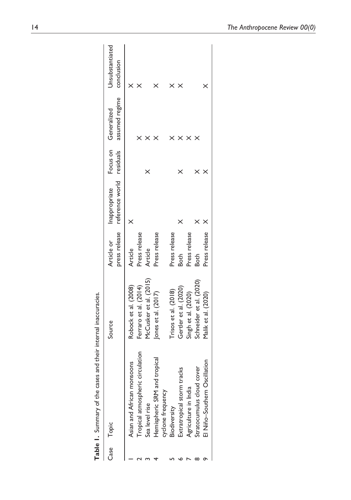|      | Table 1. Summary of the cases and their internal inaccuracies. |                         |               |                                                          |                                        |                               |
|------|----------------------------------------------------------------|-------------------------|---------------|----------------------------------------------------------|----------------------------------------|-------------------------------|
| Case | Topic                                                          | Source                  | Article or    | press release reference world residuals<br>Inappropriate | assumed regime<br>Focus on Generalized | Unsubstantiated<br>conclusion |
|      | Asian and African monsoons                                     | Robock et al. (2008)    | Article       |                                                          |                                        |                               |
|      | Tropical atmospheric circulation                               | Ferraro et al. (2014)   | Press release |                                                          |                                        |                               |
|      | Sea level rise                                                 | McCusker et al. (2015)  | Article       |                                                          |                                        |                               |
|      | Hemispheric SRM and tropical                                   | Jones et al. (2017)     | Press release |                                                          |                                        |                               |
|      | cyclone frequency                                              |                         |               |                                                          |                                        |                               |
|      | Biodiversity                                                   | Trisos et al. (2018)    | Press release |                                                          |                                        |                               |
|      | Extratropical storm tracks                                     | Gertler et al. (2020)   | <b>Both</b>   |                                                          |                                        |                               |
|      | Agriculture in India                                           | Singh et al. (2020)     | Press release |                                                          |                                        |                               |
|      | Stratocumulus cloud cover                                      | Schneider et al. (2020) | Both          |                                                          |                                        |                               |
|      | El Niño-Southern Oscillation                                   | Malik et al. (2020)     | Press release |                                                          |                                        | ×                             |
|      |                                                                |                         |               |                                                          |                                        |                               |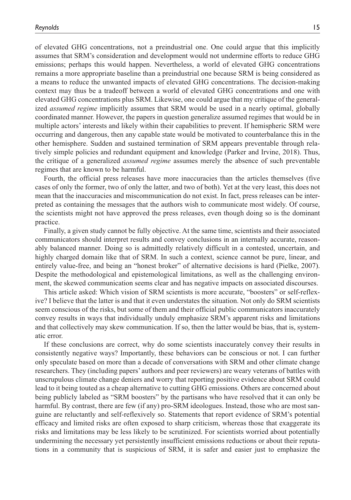of elevated GHG concentrations, not a preindustrial one. One could argue that this implicitly assumes that SRM's consideration and development would not undermine efforts to reduce GHG emissions; perhaps this would happen. Nevertheless, a world of elevated GHG concentrations remains a more appropriate baseline than a preindustrial one because SRM is being considered as a means to reduce the unwanted impacts of elevated GHG concentrations. The decision-making context may thus be a tradeoff between a world of elevated GHG concentrations and one with elevated GHG concentrations plus SRM. Likewise, one could argue that my critique of the generalized *assumed regime* implicitly assumes that SRM would be used in a nearly optimal, globally coordinated manner. However, the papers in question generalize assumed regimes that would be in multiple actors' interests and likely within their capabilities to prevent. If hemispheric SRM were occurring and dangerous, then any capable state would be motivated to counterbalance this in the other hemisphere. Sudden and sustained termination of SRM appears preventable through relatively simple policies and redundant equipment and knowledge (Parker and Irvine, 2018). Thus, the critique of a generalized *assumed regime* assumes merely the absence of such preventable regimes that are known to be harmful.

Fourth, the official press releases have more inaccuracies than the articles themselves (five cases of only the former, two of only the latter, and two of both). Yet at the very least, this does not mean that the inaccuracies and miscommunication do not exist. In fact, press releases can be interpreted as containing the messages that the authors wish to communicate most widely. Of course, the scientists might not have approved the press releases, even though doing so is the dominant practice.

Finally, a given study cannot be fully objective. At the same time, scientists and their associated communicators should interpret results and convey conclusions in an internally accurate, reasonably balanced manner. Doing so is admittedly relatively difficult in a contested, uncertain, and highly charged domain like that of SRM. In such a context, science cannot be pure, linear, and entirely value-free, and being an "honest broker" of alternative decisions is hard (Pielke, 2007). Despite the methodological and epistemological limitations, as well as the challenging environment, the skewed communication seems clear and has negative impacts on associated discourses.

This article asked: Which vision of SRM scientists is more accurate, "boosters" or self-reflexive? I believe that the latter is and that it even understates the situation. Not only do SRM scientists seem conscious of the risks, but some of them and their official public communicators inaccurately convey results in ways that individually unduly emphasize SRM's apparent risks and limitations and that collectively may skew communication. If so, then the latter would be bias, that is, systematic error.

If these conclusions are correct, why do some scientists inaccurately convey their results in consistently negative ways? Importantly, these behaviors can be conscious or not. I can further only speculate based on more than a decade of conversations with SRM and other climate change researchers. They (including papers' authors and peer reviewers) are weary veterans of battles with unscrupulous climate change deniers and worry that reporting positive evidence about SRM could lead to it being touted as a cheap alternative to cutting GHG emissions. Others are concerned about being publicly labeled as "SRM boosters" by the partisans who have resolved that it can only be harmful. By contrast, there are few (if any) pro-SRM ideologues. Instead, those who are most sanguine are reluctantly and self-reflexively so. Statements that report evidence of SRM's potential efficacy and limited risks are often exposed to sharp criticism, whereas those that exaggerate its risks and limitations may be less likely to be scrutinized. For scientists worried about potentially undermining the necessary yet persistently insufficient emissions reductions or about their reputations in a community that is suspicious of SRM, it is safer and easier just to emphasize the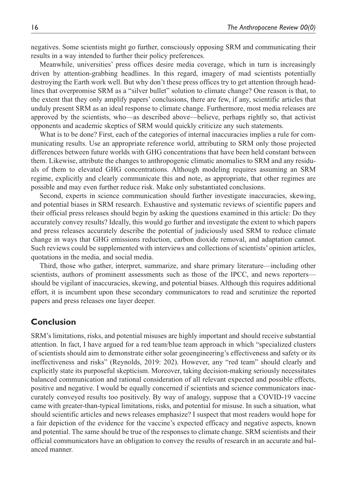negatives. Some scientists might go further, consciously opposing SRM and communicating their results in a way intended to further their policy preferences.

Meanwhile, universities' press offices desire media coverage, which in turn is increasingly driven by attention-grabbing headlines. In this regard, imagery of mad scientists potentially destroying the Earth work well. But why don't these press offices try to get attention through headlines that overpromise SRM as a "silver bullet" solution to climate change? One reason is that, to the extent that they only amplify papers' conclusions, there are few, if any, scientific articles that unduly present SRM as an ideal response to climate change. Furthermore, most media releases are approved by the scientists, who—as described above—believe, perhaps rightly so, that activist opponents and academic skeptics of SRM would quickly criticize any such statements.

What is to be done? First, each of the categories of internal inaccuracies implies a rule for communicating results. Use an appropriate reference world, attributing to SRM only those projected differences between future worlds with GHG concentrations that have been held constant between them. Likewise, attribute the changes to anthropogenic climatic anomalies to SRM and any residuals of them to elevated GHG concentrations. Although modeling requires assuming an SRM regime, explicitly and clearly communicate this and note, as appropriate, that other regimes are possible and may even further reduce risk. Make only substantiated conclusions.

Second, experts in science communication should further investigate inaccuracies, skewing, and potential biases in SRM research. Exhaustive and systematic reviews of scientific papers and their official press releases should begin by asking the questions examined in this article: Do they accurately convey results? Ideally, this would go further and investigate the extent to which papers and press releases accurately describe the potential of judiciously used SRM to reduce climate change in ways that GHG emissions reduction, carbon dioxide removal, and adaptation cannot. Such reviews could be supplemented with interviews and collections of scientists' opinion articles, quotations in the media, and social media.

Third, those who gather, interpret, summarize, and share primary literature—including other scientists, authors of prominent assessments such as those of the IPCC, and news reporters should be vigilant of inaccuracies, skewing, and potential biases. Although this requires additional effort, it is incumbent upon these secondary communicators to read and scrutinize the reported papers and press releases one layer deeper.

# **Conclusion**

SRM's limitations, risks, and potential misuses are highly important and should receive substantial attention. In fact, I have argued for a red team/blue team approach in which "specialized clusters of scientists should aim to demonstrate either solar geoengineering's effectiveness and safety or its ineffectiveness and risks" (Reynolds, 2019: 202). However, any "red team" should clearly and explicitly state its purposeful skepticism. Moreover, taking decision-making seriously necessitates balanced communication and rational consideration of all relevant expected and possible effects, positive and negative. I would be equally concerned if scientists and science communicators inaccurately conveyed results too positively. By way of analogy, suppose that a COVID-19 vaccine came with greater-than-typical limitations, risks, and potential for misuse. In such a situation, what should scientific articles and news releases emphasize? I suspect that most readers would hope for a fair depiction of the evidence for the vaccine's expected efficacy and negative aspects, known and potential. The same should be true of the responses to climate change. SRM scientists and their official communicators have an obligation to convey the results of research in an accurate and balanced manner.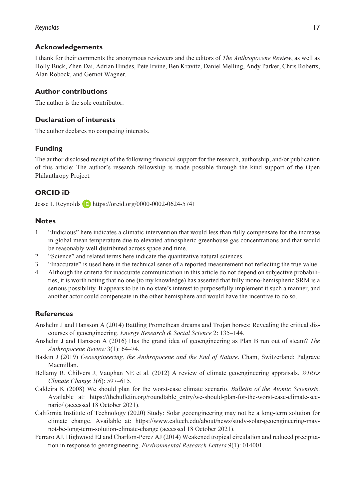#### **Acknowledgements**

I thank for their comments the anonymous reviewers and the editors of *The Anthropocene Review*, as well as Holly Buck, Zhen Dai, Adrian Hindes, Pete Irvine, Ben Kravitz, Daniel Melling, Andy Parker, Chris Roberts, Alan Robock, and Gernot Wagner.

## **Author contributions**

The author is the sole contributor.

#### **Declaration of interests**

The author declares no competing interests.

## **Funding**

The author disclosed receipt of the following financial support for the research, authorship, and/or publication of this article: The author's research fellowship is made possible through the kind support of the Open Philanthropy Project.

# **ORCID iD**

Jesse L Reynolds <https://orcid.org/0000-0002-0624-5741>

## **Notes**

- 1. "Judicious" here indicates a climatic intervention that would less than fully compensate for the increase in global mean temperature due to elevated atmospheric greenhouse gas concentrations and that would be reasonably well distributed across space and time.
- 2. "Science" and related terms here indicate the quantitative natural sciences.
- 3. "Inaccurate" is used here in the technical sense of a reported measurement not reflecting the true value.
- 4. Although the criteria for inaccurate communication in this article do not depend on subjective probabilities, it is worth noting that no one (to my knowledge) has asserted that fully mono-hemispheric SRM is a serious possibility. It appears to be in no state's interest to purposefully implement it such a manner, and another actor could compensate in the other hemisphere and would have the incentive to do so.

## **References**

- Anshelm J and Hansson A (2014) Battling Promethean dreams and Trojan horses: Revealing the critical discourses of geoengineering. *Energy Research & Social Science* 2: 135–144.
- Anshelm J and Hansson A (2016) Has the grand idea of geoengineering as Plan B run out of steam? *The Anthropocene Review* 3(1): 64–74.
- Baskin J (2019) *Geoengineering, the Anthropocene and the End of Nature*. Cham, Switzerland: Palgrave Macmillan.
- Bellamy R, Chilvers J, Vaughan NE et al. (2012) A review of climate geoengineering appraisals. *WIREs Climate Change* 3(6): 597–615.
- Caldeira K (2008) We should plan for the worst-case climate scenario. *Bulletin of the Atomic Scientists*. Available at: [https://thebulletin.org/roundtable\\_entry/we-should-plan-for-the-worst-case-climate-sce](https://thebulletin.org/roundtable_entry/we-should-plan-for-the-worst-case-climate-scenario/)[nario/](https://thebulletin.org/roundtable_entry/we-should-plan-for-the-worst-case-climate-scenario/) (accessed 18 October 2021).
- California Institute of Technology (2020) Study: Solar geoengineering may not be a long-term solution for climate change. Available at: [https://www.caltech.edu/about/news/study-solar-geoengineering-may](https://www.caltech.edu/about/news/study-solar-geoengineering-may-not-be-long-term-solution-climate-change)[not-be-long-term-solution-climate-change](https://www.caltech.edu/about/news/study-solar-geoengineering-may-not-be-long-term-solution-climate-change) (accessed 18 October 2021).
- Ferraro AJ, Highwood EJ and Charlton-Perez AJ (2014) Weakened tropical circulation and reduced precipitation in response to geoengineering. *Environmental Research Letters* 9(1): 014001.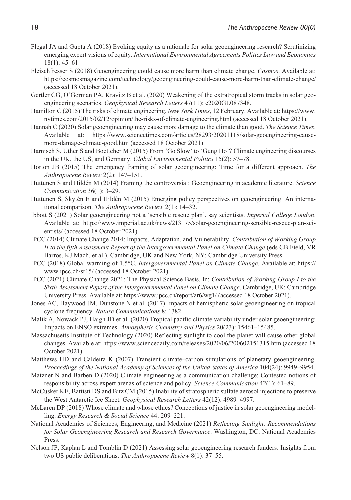- Flegal JA and Gupta A (2018) Evoking equity as a rationale for solar geoengineering research? Scrutinizing emerging expert visions of equity. *International Environmental Agreements Politics Law and Economics* 18(1): 45–61.
- Fleischfresser S (2018) Geoengineering could cause more harm than climate change. *Cosmos*. Available at: <https://cosmosmagazine.com/technology/geoengineering-could-cause-more-harm-than-climate-change/> (accessed 18 October 2021).
- Gertler CG, O'Gorman PA, Kravitz B et al. (2020) Weakening of the extratropical storm tracks in solar geoengineering scenarios. *Geophysical Research Letters* 47(11): e2020GL087348.
- Hamilton C (2015) The risks of climate engineering. *New York Times*, 12 February. Available at: [https://www.](https://www.nytimes.com/2015/02/12/opinion/the-risks-of-climate-engineering.html) [nytimes.com/2015/02/12/opinion/the-risks-of-climate-engineering.html](https://www.nytimes.com/2015/02/12/opinion/the-risks-of-climate-engineering.html) (accessed 18 October 2021).
- Hannah C (2020) Solar geoengineering may cause more damage to the climate than good. *The Science Times*. Available at: [https://www.sciencetimes.com/articles/28293/20201118/solar-geoengineering-cause](https://www.sciencetimes.com/articles/28293/20201118/solar-geoengineering-cause-more-damage-climate-good.htm)[more-damage-climate-good.htm](https://www.sciencetimes.com/articles/28293/20201118/solar-geoengineering-cause-more-damage-climate-good.htm) (accessed 18 October 2021).
- Harnisch S, Uther S and Boettcher M (2015) From 'Go Slow' to 'Gung Ho'? Climate engineering discourses in the UK, the US, and Germany. *Global Environmental Politics* 15(2): 57–78.
- Horton JB (2015) The emergency framing of solar geoengineering: Time for a different approach. *The Anthropocene Review* 2(2): 147–151.
- Huttunen S and Hildén M (2014) Framing the controversial: Geoengineering in academic literature. *Science Communication* 36(1): 3–29.
- Huttunen S, Skytén E and Hildén M (2015) Emerging policy perspectives on geoengineering: An international comparison. *The Anthropocene Review* 2(1): 14–32.
- Ibbott S (2021) Solar geoengineering not a 'sensible rescue plan', say scientists. *Imperial College London*. Available at: [https://www.imperial.ac.uk/news/213175/solar-geoengineering-sensible-rescue-plan-sci](https://www.imperial.ac.uk/news/213175/solar-geoengineering-sensible-rescue-plan-scientists/)[entists/](https://www.imperial.ac.uk/news/213175/solar-geoengineering-sensible-rescue-plan-scientists/) (accessed 18 October 2021).
- IPCC (2014) Climate Change 2014: Impacts, Adaptation, and Vulnerability. *Contribution of Working Group II to the fifth Assessment Report of the Intergovernmental Panel on Climate Change* (eds CB Field, VR Barros, KJ Mach, et al.). Cambridge, UK and New York, NY: Cambridge University Press.
- IPCC (2018) Global warming of 1.5°C. *Intergovernmental Panel on Climate Change*. Available at: [https://](https://www.ipcc.ch/sr15/) [www.ipcc.ch/sr15/](https://www.ipcc.ch/sr15/) (accessed 18 October 2021).
- IPCC (2021) Climate Change 2021: The Physical Science Basis. In: *Contribution of Working Group I to the Sixth Assessment Report of the Intergovernmental Panel on Climate Change*. Cambridge, UK: Cambridge University Press. Available at: <https://www.ipcc.ch/report/ar6/wg1/>(accessed 18 October 2021).
- Jones AC, Haywood JM, Dunstone N et al. (2017) Impacts of hemispheric solar geoengineering on tropical cyclone frequency. *Nature Communications* 8: 1382.
- Malik A, Nowack PJ, Haigh JD et al. (2020) Tropical pacific climate variability under solar geoengineering: Impacts on ENSO extremes. *Atmospheric Chemistry and Physics* 20(23): 15461–15485.
- Massachusetts Institute of Technology (2020) Reflecting sunlight to cool the planet will cause other global changes. Available at: <https://www.sciencedaily.com/releases/2020/06/200602151315.htm> (accessed 18 October 2021).
- Matthews HD and Caldeira K (2007) Transient climate–carbon simulations of planetary geoengineering. *Proceedings of the National Academy of Sciences of the United States of America* 104(24): 9949–9954.
- Matzner N and Barben D (2020) Climate engineering as a communication challenge: Contested notions of responsibility across expert arenas of science and policy. *Science Communication* 42(1): 61–89.
- McCusker KE, Battisti DS and Bitz CM (2015) Inability of stratospheric sulfate aerosol injections to preserve the West Antarctic Ice Sheet. *Geophysical Research Letters* 42(12): 4989–4997.
- McLaren DP (2018) Whose climate and whose ethics? Conceptions of justice in solar geoengineering modelling. *Energy Research & Social Science* 44: 209–221.
- National Academies of Sciences, Engineering, and Medicine (2021) *Reflecting Sunlight: Recommendations for Solar Geoengineering Research and Research Governance*. Washington, DC: National Academies Press.
- Nelson JP, Kaplan L and Tomblin D (2021) Assessing solar geoengineering research funders: Insights from two US public deliberations. *The Anthropocene Review* 8(1): 37–55.